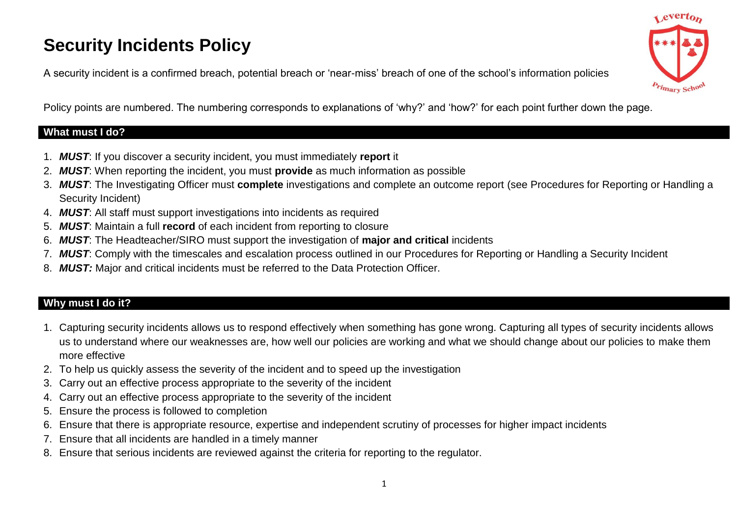# **Security Incidents Policy**

A security incident is a confirmed breach, potential breach or 'near-miss' breach of one of the school's information policies

ceverto rimary Scho

Policy points are numbered. The numbering corresponds to explanations of 'why?' and 'how?' for each point further down the page.

## **What must I do?**

- 1. *MUST*: If you discover a security incident, you must immediately **report** it
- 2. *MUST*: When reporting the incident, you must **provide** as much information as possible
- 3. *MUST*: The Investigating Officer must **complete** investigations and complete an outcome report (see Procedures for Reporting or Handling a Security Incident)
- 4. *MUST*: All staff must support investigations into incidents as required
- 5. *MUST*: Maintain a full **record** of each incident from reporting to closure
- 6. *MUST*: The Headteacher/SIRO must support the investigation of **major and critical** incidents
- 7. *MUST*: Comply with the timescales and escalation process outlined in our Procedures for Reporting or Handling a Security Incident
- 8. *MUST:* Major and critical incidents must be referred to the Data Protection Officer.

# **Why must I do it?**

- 1. Capturing security incidents allows us to respond effectively when something has gone wrong. Capturing all types of security incidents allows us to understand where our weaknesses are, how well our policies are working and what we should change about our policies to make them more effective
- 2. To help us quickly assess the severity of the incident and to speed up the investigation
- 3. Carry out an effective process appropriate to the severity of the incident
- 4. Carry out an effective process appropriate to the severity of the incident
- 5. Ensure the process is followed to completion
- 6. Ensure that there is appropriate resource, expertise and independent scrutiny of processes for higher impact incidents
- 7. Ensure that all incidents are handled in a timely manner
- 8. Ensure that serious incidents are reviewed against the criteria for reporting to the regulator.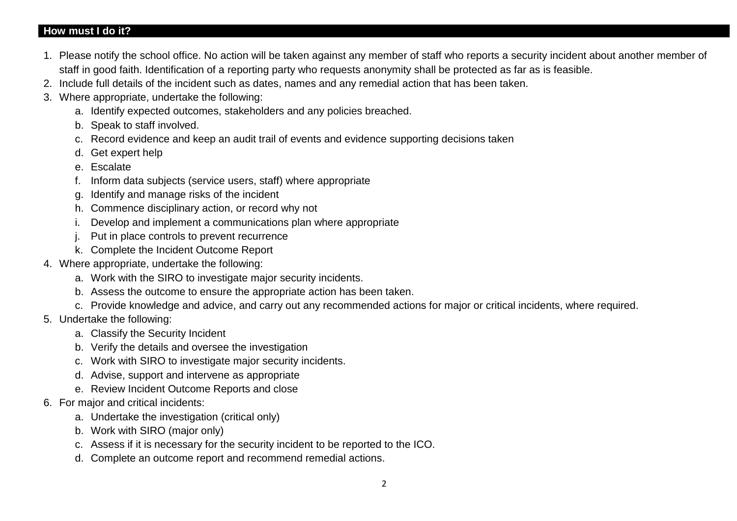#### **How must I do it?**

- 1. Please notify the school office. No action will be taken against any member of staff who reports a security incident about another member of staff in good faith. Identification of a reporting party who requests anonymity shall be protected as far as is feasible.
- 2. Include full details of the incident such as dates, names and any remedial action that has been taken.
- 3. Where appropriate, undertake the following:
	- a. Identify expected outcomes, stakeholders and any policies breached.
	- b. Speak to staff involved.
	- c. Record evidence and keep an audit trail of events and evidence supporting decisions taken
	- d. Get expert help
	- e. Escalate
	- f. Inform data subjects (service users, staff) where appropriate
	- g. Identify and manage risks of the incident
	- h. Commence disciplinary action, or record why not
	- i. Develop and implement a communications plan where appropriate
	- j. Put in place controls to prevent recurrence
	- k. Complete the Incident Outcome Report
- 4. Where appropriate, undertake the following:
	- a. Work with the SIRO to investigate major security incidents.
	- b. Assess the outcome to ensure the appropriate action has been taken.
	- c. Provide knowledge and advice, and carry out any recommended actions for major or critical incidents, where required.
- 5. Undertake the following:
	- a. Classify the Security Incident
	- b. Verify the details and oversee the investigation
	- c. Work with SIRO to investigate major security incidents.
	- d. Advise, support and intervene as appropriate
	- e. Review Incident Outcome Reports and close
- 6. For major and critical incidents:
	- a. Undertake the investigation (critical only)
	- b. Work with SIRO (major only)
	- c. Assess if it is necessary for the security incident to be reported to the ICO.
	- d. Complete an outcome report and recommend remedial actions.